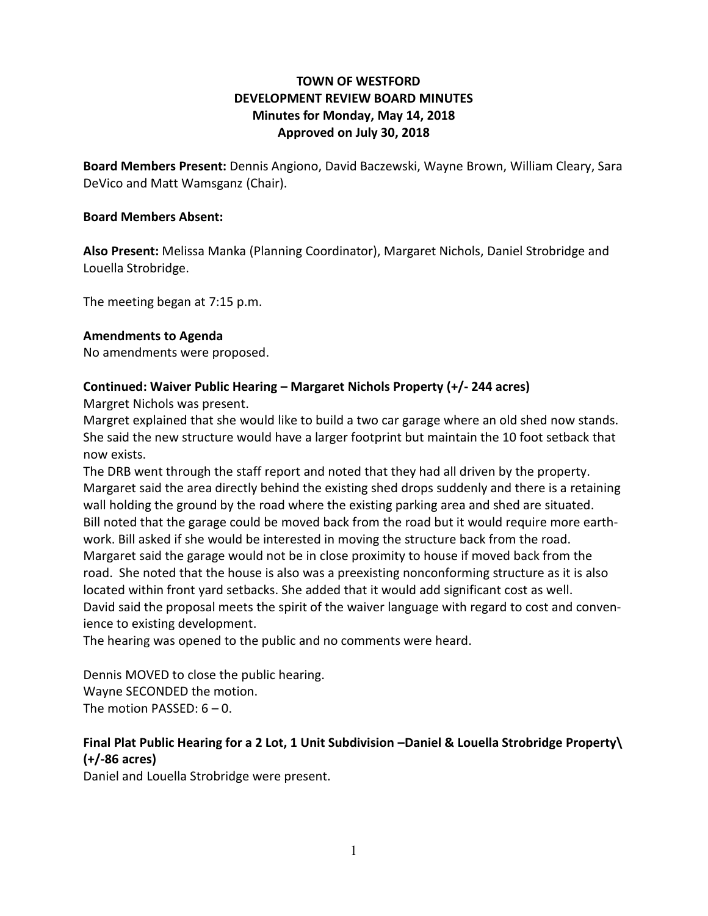## **TOWN OF WESTFORD DEVELOPMENT REVIEW BOARD MINUTES Minutes for Monday, May 14, 2018 Approved on July 30, 2018**

**Board Members Present:** Dennis Angiono, David Baczewski, Wayne Brown, William Cleary, Sara DeVico and Matt Wamsganz (Chair).

### **Board Members Absent:**

**Also Present:** Melissa Manka (Planning Coordinator), Margaret Nichols, Daniel Strobridge and Louella Strobridge.

The meeting began at 7:15 p.m.

### **Amendments to Agenda**

No amendments were proposed.

### **Continued: Waiver Public Hearing – Margaret Nichols Property (+/- 244 acres)**

Margret Nichols was present.

Margret explained that she would like to build a two car garage where an old shed now stands. She said the new structure would have a larger footprint but maintain the 10 foot setback that now exists.

The DRB went through the staff report and noted that they had all driven by the property. Margaret said the area directly behind the existing shed drops suddenly and there is a retaining wall holding the ground by the road where the existing parking area and shed are situated. Bill noted that the garage could be moved back from the road but it would require more earthwork. Bill asked if she would be interested in moving the structure back from the road. Margaret said the garage would not be in close proximity to house if moved back from the road. She noted that the house is also was a preexisting nonconforming structure as it is also located within front yard setbacks. She added that it would add significant cost as well. David said the proposal meets the spirit of the waiver language with regard to cost and convenience to existing development.

The hearing was opened to the public and no comments were heard.

Dennis MOVED to close the public hearing. Wayne SECONDED the motion. The motion PASSED: 6 – 0.

# **Final Plat Public Hearing for a 2 Lot, 1 Unit Subdivision –Daniel & Louella Strobridge Property\ (+/-86 acres)**

Daniel and Louella Strobridge were present.